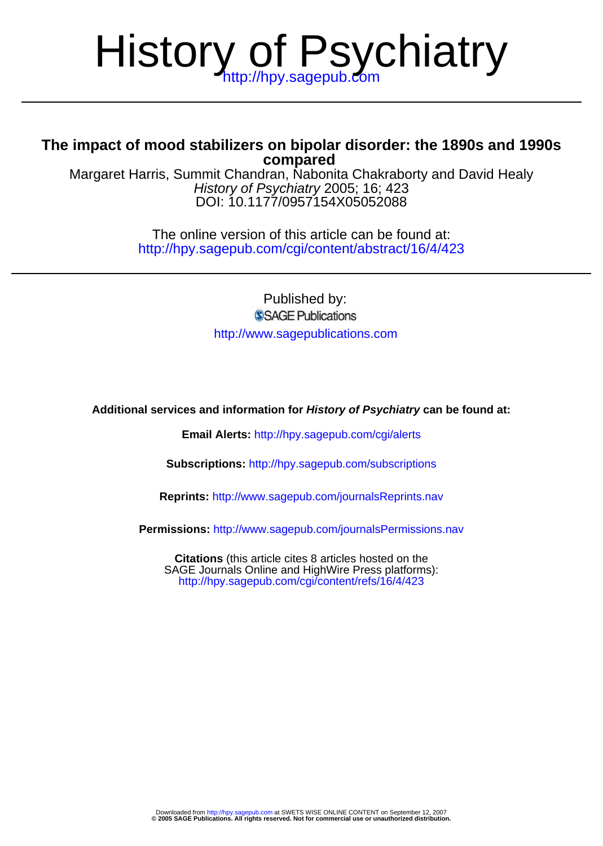# History of Psychiatry

# **compared The impact of mood stabilizers on bipolar disorder: the 1890s and 1990s**

DOI: 10.1177/0957154X05052088 History of Psychiatry 2005; 16; 423 Margaret Harris, Summit Chandran, Nabonita Chakraborty and David Healy

> http://hpy.sagepub.com/cgi/content/abstract/16/4/423 The online version of this article can be found at:

> > Published by: SSAGE Publications http://www.sagepublications.com

**Additional services and information for History of Psychiatry can be found at:**

**Email Alerts:** <http://hpy.sagepub.com/cgi/alerts>

**Subscriptions:** <http://hpy.sagepub.com/subscriptions>

**Reprints:** <http://www.sagepub.com/journalsReprints.nav>

**Permissions:** <http://www.sagepub.com/journalsPermissions.nav>

<http://hpy.sagepub.com/cgi/content/refs/16/4/423> SAGE Journals Online and HighWire Press platforms): **Citations** (this article cites 8 articles hosted on the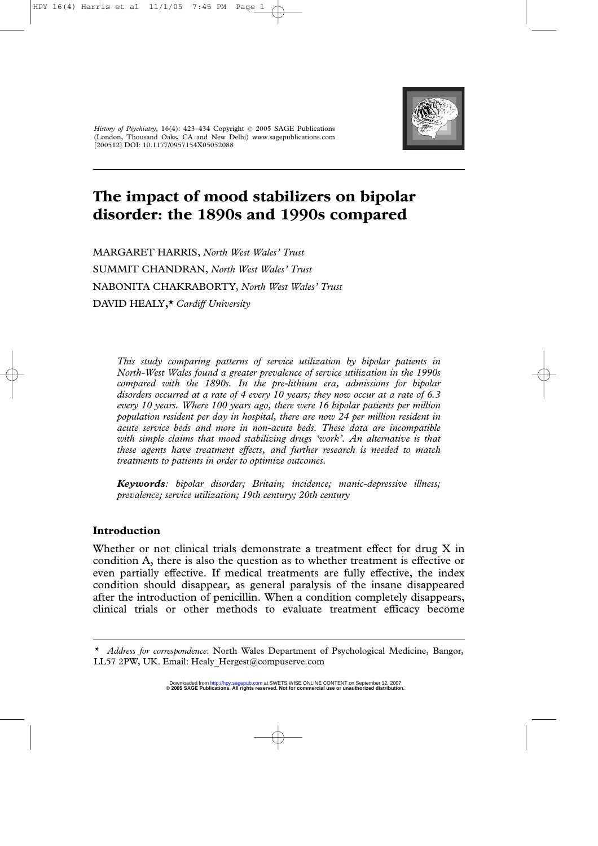

*History of Psychiatry,* 16(4): 423–434 Copyright © 2005 SAGE Publications (London, Thousand Oaks, CA and New Delhi) www.sagepublications.com [200512] DOI: 10.1177/0957154X05052088

# **The impact of mood stabilizers on bipolar disorder: the 1890s and 1990s compared**

MARGARET HARRIS, *North West Wales' Trust* SUMMIT CHANDRAN, *North West Wales' Trust* NABONITA CHAKRABORTY, *North West Wales' Trust* DAVID HEALY**,\*** *Cardiff University*

*This study comparing patterns of service utilization by bipolar patients in North-West Wales found a greater prevalence of service utilization in the 1990s compared with the 1890s. In the pre-lithium era, admissions for bipolar disorders occurred at a rate of 4 every 10 years; they now occur at a rate of 6.3 every 10 years. Where 100 years ago, there were 16 bipolar patients per million population resident per day in hospital, there are now 24 per million resident in acute service beds and more in non-acute beds. These data are incompatible with simple claims that mood stabilizing drugs 'work'. An alternative is that these agents have treatment effects, and further research is needed to match treatments to patients in order to optimize outcomes.*

*Keywords: bipolar disorder; Britain; incidence; manic-depressive illness; prevalence; service utilization; 19th century; 20th century*

# **Introduction**

Whether or not clinical trials demonstrate a treatment effect for drug X in condition A, there is also the question as to whether treatment is effective or even partially effective. If medical treatments are fully effective, the index condition should disappear, as general paralysis of the insane disappeared after the introduction of penicillin. When a condition completely disappears, clinical trials or other methods to evaluate treatment efficacy become

**© 2005 SAGE Publications. All rights reserved. Not for commercial use or unauthorized distribution.** Downloaded from<http://hpy.sagepub.com>at SWETS WISE ONLINE CONTENT on September 12, 2007

*<sup>\*</sup> Address for correspondence*: North Wales Department of Psychological Medicine, Bangor, LL57 2PW, UK. Email: Healy Hergest@compuserve.com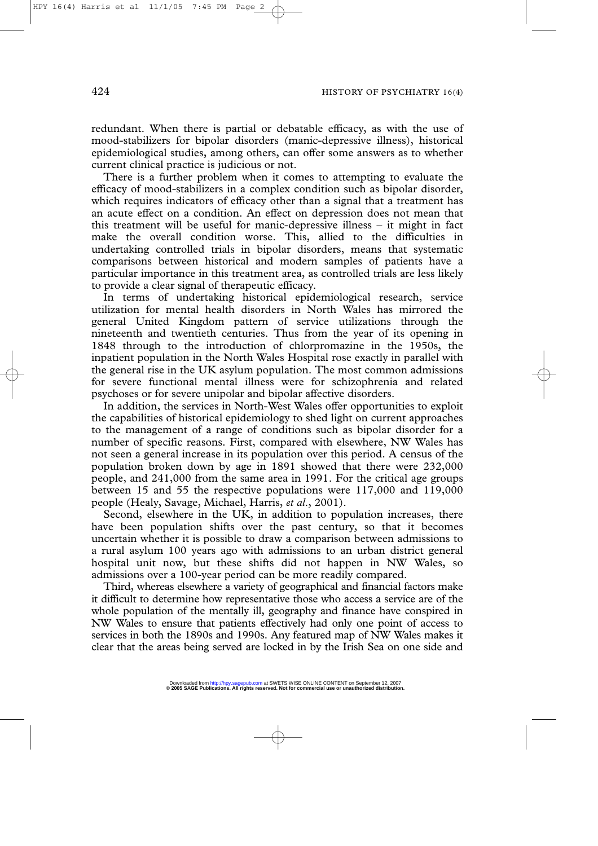redundant. When there is partial or debatable efficacy, as with the use of mood-stabilizers for bipolar disorders (manic-depressive illness), historical epidemiological studies, among others, can offer some answers as to whether current clinical practice is judicious or not.

There is a further problem when it comes to attempting to evaluate the efficacy of mood-stabilizers in a complex condition such as bipolar disorder, which requires indicators of efficacy other than a signal that a treatment has an acute effect on a condition. An effect on depression does not mean that this treatment will be useful for manic-depressive illness – it might in fact make the overall condition worse. This, allied to the difficulties in undertaking controlled trials in bipolar disorders, means that systematic comparisons between historical and modern samples of patients have a particular importance in this treatment area, as controlled trials are less likely to provide a clear signal of therapeutic efficacy.

In terms of undertaking historical epidemiological research, service utilization for mental health disorders in North Wales has mirrored the general United Kingdom pattern of service utilizations through the nineteenth and twentieth centuries. Thus from the year of its opening in 1848 through to the introduction of chlorpromazine in the 1950s, the inpatient population in the North Wales Hospital rose exactly in parallel with the general rise in the UK asylum population. The most common admissions for severe functional mental illness were for schizophrenia and related psychoses or for severe unipolar and bipolar affective disorders.

In addition, the services in North-West Wales offer opportunities to exploit the capabilities of historical epidemiology to shed light on current approaches to the management of a range of conditions such as bipolar disorder for a number of specific reasons. First, compared with elsewhere, NW Wales has not seen a general increase in its population over this period. A census of the population broken down by age in 1891 showed that there were 232,000 people, and 241,000 from the same area in 1991. For the critical age groups between 15 and 55 the respective populations were 117,000 and 119,000 people (Healy, Savage, Michael, Harris, *et al*., 2001).

Second, elsewhere in the UK, in addition to population increases, there have been population shifts over the past century, so that it becomes uncertain whether it is possible to draw a comparison between admissions to a rural asylum 100 years ago with admissions to an urban district general hospital unit now, but these shifts did not happen in NW Wales, so admissions over a 100-year period can be more readily compared.

Third, whereas elsewhere a variety of geographical and financial factors make it difficult to determine how representative those who access a service are of the whole population of the mentally ill, geography and finance have conspired in NW Wales to ensure that patients effectively had only one point of access to services in both the 1890s and 1990s. Any featured map of NW Wales makes it clear that the areas being served are locked in by the Irish Sea on one side and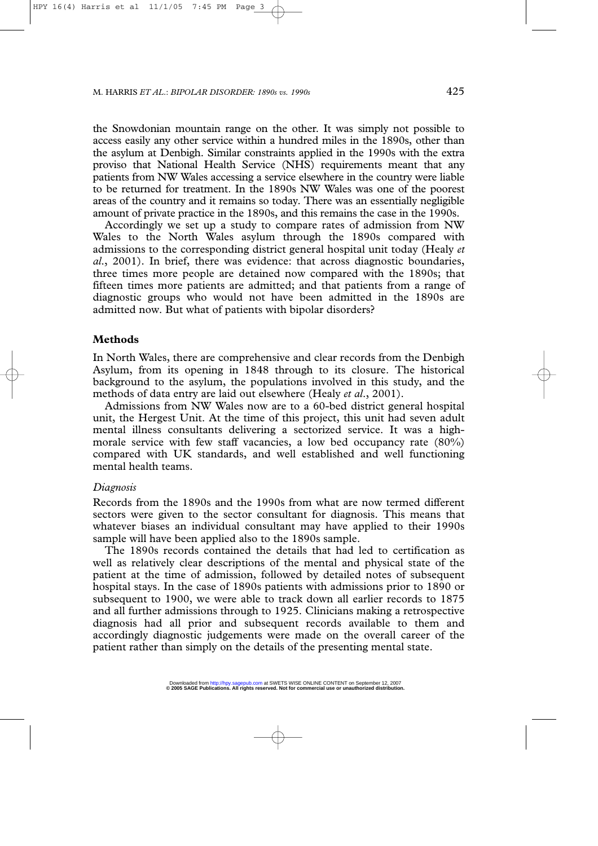the Snowdonian mountain range on the other. It was simply not possible to access easily any other service within a hundred miles in the 1890s, other than the asylum at Denbigh. Similar constraints applied in the 1990s with the extra proviso that National Health Service (NHS) requirements meant that any patients from NW Wales accessing a service elsewhere in the country were liable to be returned for treatment. In the 1890s NW Wales was one of the poorest areas of the country and it remains so today. There was an essentially negligible amount of private practice in the 1890s, and this remains the case in the 1990s.

Accordingly we set up a study to compare rates of admission from NW Wales to the North Wales asylum through the 1890s compared with admissions to the corresponding district general hospital unit today (Healy *et al*., 2001). In brief, there was evidence: that across diagnostic boundaries, three times more people are detained now compared with the 1890s; that fifteen times more patients are admitted; and that patients from a range of diagnostic groups who would not have been admitted in the 1890s are admitted now. But what of patients with bipolar disorders?

#### **Methods**

In North Wales, there are comprehensive and clear records from the Denbigh Asylum, from its opening in 1848 through to its closure. The historical background to the asylum, the populations involved in this study, and the methods of data entry are laid out elsewhere (Healy *et al*., 2001).

Admissions from NW Wales now are to a 60-bed district general hospital unit, the Hergest Unit. At the time of this project, this unit had seven adult mental illness consultants delivering a sectorized service. It was a highmorale service with few staff vacancies, a low bed occupancy rate (80%) compared with UK standards, and well established and well functioning mental health teams.

#### *Diagnosis*

Records from the 1890s and the 1990s from what are now termed different sectors were given to the sector consultant for diagnosis. This means that whatever biases an individual consultant may have applied to their 1990s sample will have been applied also to the 1890s sample.

The 1890s records contained the details that had led to certification as well as relatively clear descriptions of the mental and physical state of the patient at the time of admission, followed by detailed notes of subsequent hospital stays. In the case of 1890s patients with admissions prior to 1890 or subsequent to 1900, we were able to track down all earlier records to 1875 and all further admissions through to 1925. Clinicians making a retrospective diagnosis had all prior and subsequent records available to them and accordingly diagnostic judgements were made on the overall career of the patient rather than simply on the details of the presenting mental state.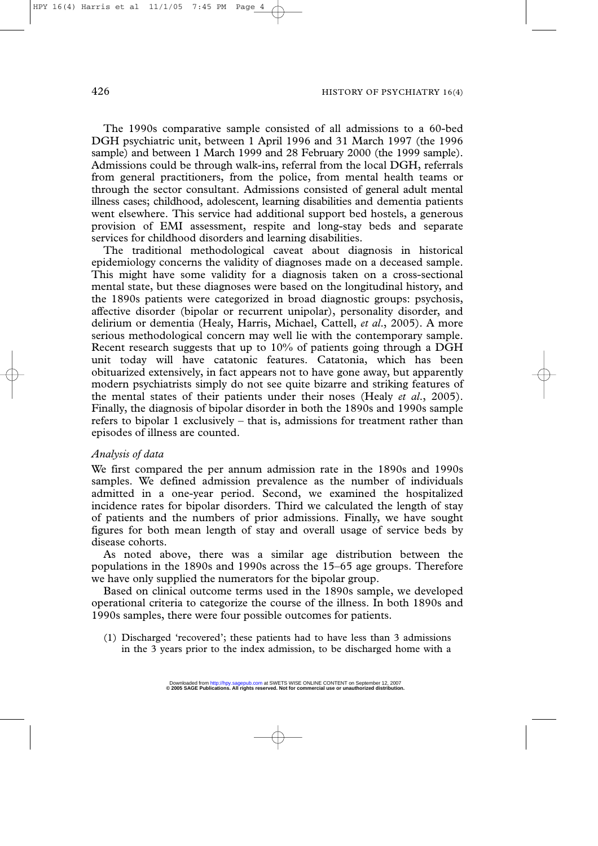The 1990s comparative sample consisted of all admissions to a 60-bed DGH psychiatric unit, between 1 April 1996 and 31 March 1997 (the 1996 sample) and between 1 March 1999 and 28 February 2000 (the 1999 sample). Admissions could be through walk-ins, referral from the local DGH, referrals from general practitioners, from the police, from mental health teams or through the sector consultant. Admissions consisted of general adult mental illness cases; childhood, adolescent, learning disabilities and dementia patients went elsewhere. This service had additional support bed hostels, a generous provision of EMI assessment, respite and long-stay beds and separate services for childhood disorders and learning disabilities.

The traditional methodological caveat about diagnosis in historical epidemiology concerns the validity of diagnoses made on a deceased sample. This might have some validity for a diagnosis taken on a cross-sectional mental state, but these diagnoses were based on the longitudinal history, and the 1890s patients were categorized in broad diagnostic groups: psychosis, affective disorder (bipolar or recurrent unipolar), personality disorder, and delirium or dementia (Healy, Harris, Michael, Cattell, *et al*., 2005). A more serious methodological concern may well lie with the contemporary sample. Recent research suggests that up to 10% of patients going through a DGH unit today will have catatonic features. Catatonia, which has been obituarized extensively, in fact appears not to have gone away, but apparently modern psychiatrists simply do not see quite bizarre and striking features of the mental states of their patients under their noses (Healy *et al*., 2005). Finally, the diagnosis of bipolar disorder in both the 1890s and 1990s sample refers to bipolar 1 exclusively – that is, admissions for treatment rather than episodes of illness are counted.

### *Analysis of data*

We first compared the per annum admission rate in the 1890s and 1990s samples. We defined admission prevalence as the number of individuals admitted in a one-year period. Second, we examined the hospitalized incidence rates for bipolar disorders. Third we calculated the length of stay of patients and the numbers of prior admissions. Finally, we have sought figures for both mean length of stay and overall usage of service beds by disease cohorts.

As noted above, there was a similar age distribution between the populations in the 1890s and 1990s across the 15–65 age groups. Therefore we have only supplied the numerators for the bipolar group.

Based on clinical outcome terms used in the 1890s sample, we developed operational criteria to categorize the course of the illness. In both 1890s and 1990s samples, there were four possible outcomes for patients.

(1) Discharged 'recovered'; these patients had to have less than 3 admissions in the 3 years prior to the index admission, to be discharged home with a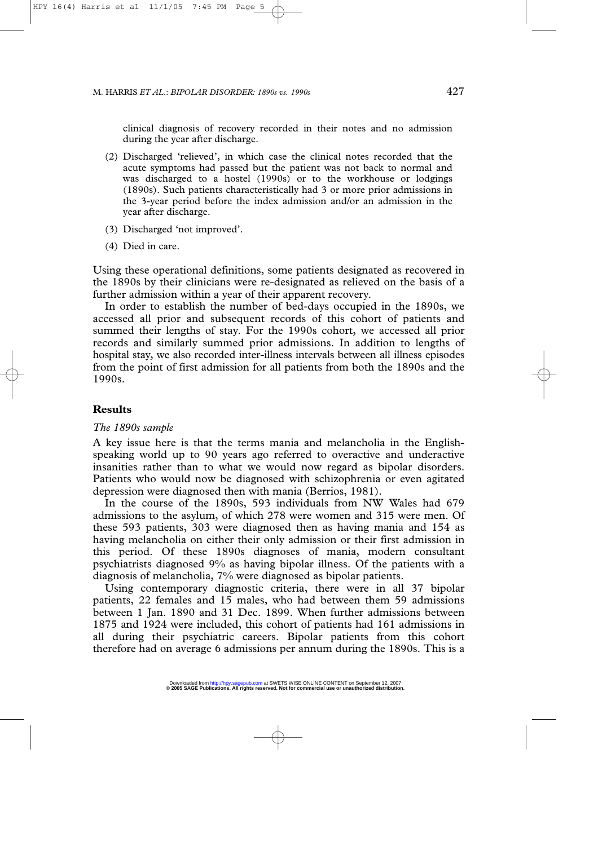clinical diagnosis of recovery recorded in their notes and no admission during the year after discharge.

- (2) Discharged 'relieved', in which case the clinical notes recorded that the acute symptoms had passed but the patient was not back to normal and was discharged to a hostel (1990s) or to the workhouse or lodgings (1890s). Such patients characteristically had 3 or more prior admissions in the 3-year period before the index admission and/or an admission in the year after discharge.
- (3) Discharged 'not improved'.
- (4) Died in care.

Using these operational definitions, some patients designated as recovered in the 1890s by their clinicians were re-designated as relieved on the basis of a further admission within a year of their apparent recovery.

In order to establish the number of bed-days occupied in the 1890s, we accessed all prior and subsequent records of this cohort of patients and summed their lengths of stay. For the 1990s cohort, we accessed all prior records and similarly summed prior admissions. In addition to lengths of hospital stay, we also recorded inter-illness intervals between all illness episodes from the point of first admission for all patients from both the 1890s and the 1990s.

#### **Results**

#### *The 1890s sample*

A key issue here is that the terms mania and melancholia in the Englishspeaking world up to 90 years ago referred to overactive and underactive insanities rather than to what we would now regard as bipolar disorders. Patients who would now be diagnosed with schizophrenia or even agitated depression were diagnosed then with mania (Berrios, 1981).

In the course of the 1890s, 593 individuals from NW Wales had 679 admissions to the asylum, of which 278 were women and 315 were men. Of these 593 patients, 303 were diagnosed then as having mania and 154 as having melancholia on either their only admission or their first admission in this period. Of these 1890s diagnoses of mania, modern consultant psychiatrists diagnosed 9% as having bipolar illness. Of the patients with a diagnosis of melancholia, 7% were diagnosed as bipolar patients.

Using contemporary diagnostic criteria, there were in all 37 bipolar patients, 22 females and 15 males, who had between them 59 admissions between 1 Jan. 1890 and 31 Dec. 1899. When further admissions between 1875 and 1924 were included, this cohort of patients had 161 admissions in all during their psychiatric careers. Bipolar patients from this cohort therefore had on average 6 admissions per annum during the 1890s. This is a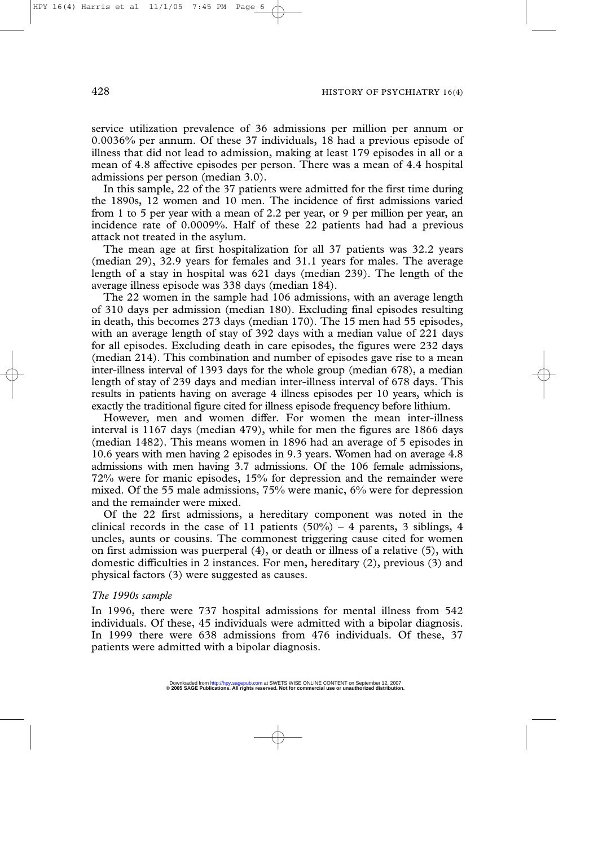service utilization prevalence of 36 admissions per million per annum or 0.0036% per annum. Of these 37 individuals, 18 had a previous episode of illness that did not lead to admission, making at least 179 episodes in all or a mean of 4.8 affective episodes per person. There was a mean of 4.4 hospital admissions per person (median 3.0).

In this sample, 22 of the 37 patients were admitted for the first time during the 1890s, 12 women and 10 men. The incidence of first admissions varied from 1 to 5 per year with a mean of 2.2 per year, or 9 per million per year, an incidence rate of 0.0009%. Half of these 22 patients had had a previous attack not treated in the asylum.

The mean age at first hospitalization for all 37 patients was 32.2 years (median 29), 32.9 years for females and 31.1 years for males. The average length of a stay in hospital was 621 days (median 239). The length of the average illness episode was 338 days (median 184).

The 22 women in the sample had 106 admissions, with an average length of 310 days per admission (median 180). Excluding final episodes resulting in death, this becomes 273 days (median 170). The 15 men had 55 episodes, with an average length of stay of 392 days with a median value of 221 days for all episodes. Excluding death in care episodes, the figures were 232 days (median 214). This combination and number of episodes gave rise to a mean inter-illness interval of 1393 days for the whole group (median 678), a median length of stay of 239 days and median inter-illness interval of 678 days. This results in patients having on average 4 illness episodes per 10 years, which is exactly the traditional figure cited for illness episode frequency before lithium.

However, men and women differ. For women the mean inter-illness interval is 1167 days (median 479), while for men the figures are 1866 days (median 1482). This means women in 1896 had an average of 5 episodes in 10.6 years with men having 2 episodes in 9.3 years. Women had on average 4.8 admissions with men having 3.7 admissions. Of the 106 female admissions, 72% were for manic episodes, 15% for depression and the remainder were mixed. Of the 55 male admissions, 75% were manic, 6% were for depression and the remainder were mixed.

Of the 22 first admissions, a hereditary component was noted in the clinical records in the case of 11 patients  $(50\%) - 4$  parents, 3 siblings, 4 uncles, aunts or cousins. The commonest triggering cause cited for women on first admission was puerperal (4), or death or illness of a relative (5), with domestic difficulties in 2 instances. For men, hereditary (2), previous (3) and physical factors (3) were suggested as causes.

#### *The 1990s sample*

In 1996, there were 737 hospital admissions for mental illness from 542 individuals. Of these, 45 individuals were admitted with a bipolar diagnosis. In 1999 there were 638 admissions from 476 individuals. Of these, 37 patients were admitted with a bipolar diagnosis.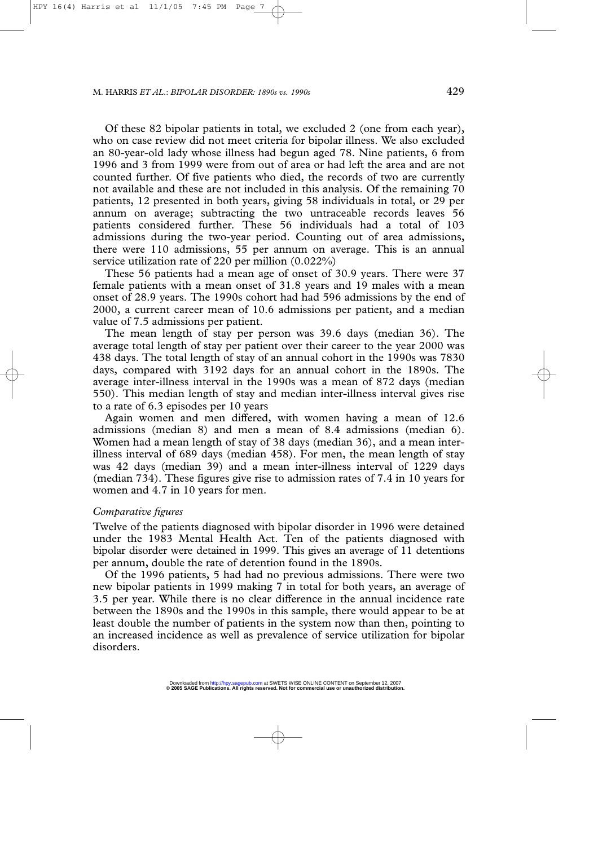Of these 82 bipolar patients in total, we excluded 2 (one from each year), who on case review did not meet criteria for bipolar illness. We also excluded an 80-year-old lady whose illness had begun aged 78. Nine patients, 6 from 1996 and 3 from 1999 were from out of area or had left the area and are not counted further. Of five patients who died, the records of two are currently not available and these are not included in this analysis. Of the remaining 70 patients, 12 presented in both years, giving 58 individuals in total, or 29 per annum on average; subtracting the two untraceable records leaves 56 patients considered further. These 56 individuals had a total of 103 admissions during the two-year period. Counting out of area admissions, there were 110 admissions, 55 per annum on average. This is an annual service utilization rate of 220 per million (0.022%)

These 56 patients had a mean age of onset of 30.9 years. There were 37 female patients with a mean onset of 31.8 years and 19 males with a mean onset of 28.9 years. The 1990s cohort had had 596 admissions by the end of 2000, a current career mean of 10.6 admissions per patient, and a median value of 7.5 admissions per patient.

The mean length of stay per person was 39.6 days (median 36). The average total length of stay per patient over their career to the year 2000 was 438 days. The total length of stay of an annual cohort in the 1990s was 7830 days, compared with 3192 days for an annual cohort in the 1890s. The average inter-illness interval in the 1990s was a mean of 872 days (median 550). This median length of stay and median inter-illness interval gives rise to a rate of 6.3 episodes per 10 years

Again women and men differed, with women having a mean of 12.6 admissions (median 8) and men a mean of 8.4 admissions (median 6). Women had a mean length of stay of 38 days (median 36), and a mean interillness interval of 689 days (median 458). For men, the mean length of stay was 42 days (median 39) and a mean inter-illness interval of 1229 days (median 734). These figures give rise to admission rates of 7.4 in 10 years for women and 4.7 in 10 years for men.

#### *Comparative figures*

Twelve of the patients diagnosed with bipolar disorder in 1996 were detained under the 1983 Mental Health Act. Ten of the patients diagnosed with bipolar disorder were detained in 1999. This gives an average of 11 detentions per annum, double the rate of detention found in the 1890s.

Of the 1996 patients, 5 had had no previous admissions. There were two new bipolar patients in 1999 making 7 in total for both years, an average of 3.5 per year. While there is no clear difference in the annual incidence rate between the 1890s and the 1990s in this sample, there would appear to be at least double the number of patients in the system now than then, pointing to an increased incidence as well as prevalence of service utilization for bipolar disorders.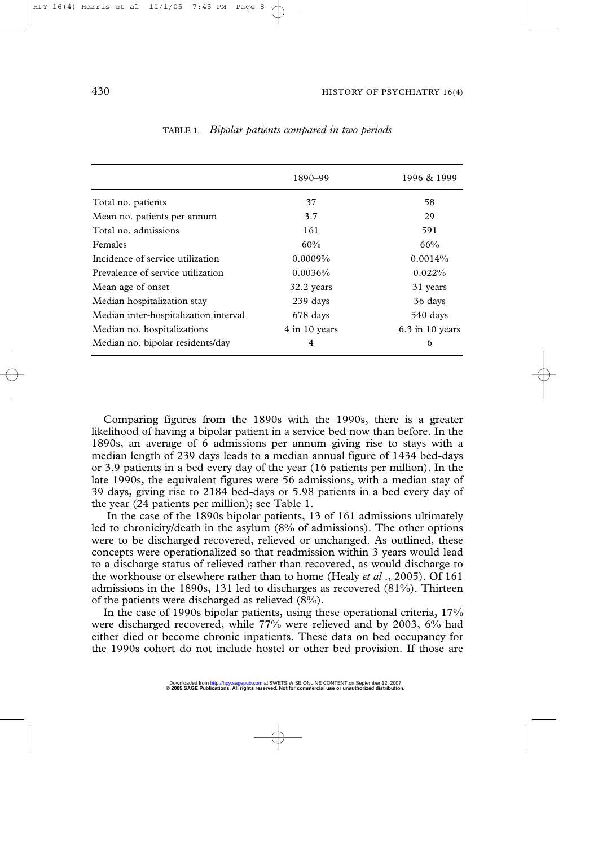|                                       | 1890-99       | 1996 & 1999       |
|---------------------------------------|---------------|-------------------|
| Total no. patients                    | 37            | 58                |
| Mean no. patients per annum           | 3.7           | 29                |
| Total no. admissions                  | 161           | 591               |
| <b>Females</b>                        | 60%           | $66\%$            |
| Incidence of service utilization      | $0.0009\%$    | $0.0014\%$        |
| Prevalence of service utilization     | $0.0036\%$    | $0.022\%$         |
| Mean age of onset                     | 32.2 years    | 31 years          |
| Median hospitalization stay           | 239 days      | 36 days           |
| Median inter-hospitalization interval | 678 days      | 540 days          |
| Median no. hospitalizations           | 4 in 10 years | $6.3$ in 10 years |
| Median no. bipolar residents/day      | 4             | 6                 |

TABLE 1. *Bipolar patients compared in two periods*

Comparing figures from the 1890s with the 1990s, there is a greater likelihood of having a bipolar patient in a service bed now than before. In the 1890s, an average of 6 admissions per annum giving rise to stays with a median length of 239 days leads to a median annual figure of 1434 bed-days or 3.9 patients in a bed every day of the year (16 patients per million). In the late 1990s, the equivalent figures were 56 admissions, with a median stay of 39 days, giving rise to 2184 bed-days or 5.98 patients in a bed every day of the year (24 patients per million); see Table 1.

In the case of the 1890s bipolar patients, 13 of 161 admissions ultimately led to chronicity/death in the asylum (8% of admissions). The other options were to be discharged recovered, relieved or unchanged. As outlined, these concepts were operationalized so that readmission within 3 years would lead to a discharge status of relieved rather than recovered, as would discharge to the workhouse or elsewhere rather than to home (Healy *et al* ., 2005). Of 161 admissions in the 1890s, 131 led to discharges as recovered (81%). Thirteen of the patients were discharged as relieved (8%).

In the case of 1990s bipolar patients, using these operational criteria, 17% were discharged recovered, while 77% were relieved and by 2003, 6% had either died or become chronic inpatients. These data on bed occupancy for the 1990s cohort do not include hostel or other bed provision. If those are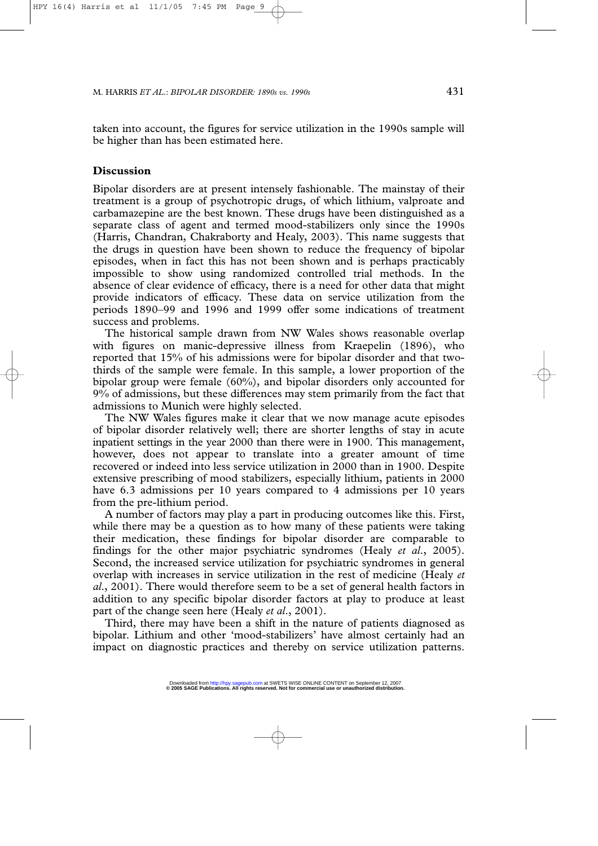taken into account, the figures for service utilization in the 1990s sample will be higher than has been estimated here.

# **Discussion**

Bipolar disorders are at present intensely fashionable. The mainstay of their treatment is a group of psychotropic drugs, of which lithium, valproate and carbamazepine are the best known. These drugs have been distinguished as a separate class of agent and termed mood-stabilizers only since the 1990s (Harris, Chandran, Chakraborty and Healy, 2003). This name suggests that the drugs in question have been shown to reduce the frequency of bipolar episodes, when in fact this has not been shown and is perhaps practicably impossible to show using randomized controlled trial methods. In the absence of clear evidence of efficacy, there is a need for other data that might provide indicators of efficacy. These data on service utilization from the periods 1890–99 and 1996 and 1999 offer some indications of treatment success and problems.

The historical sample drawn from NW Wales shows reasonable overlap with figures on manic-depressive illness from Kraepelin (1896), who reported that 15% of his admissions were for bipolar disorder and that twothirds of the sample were female. In this sample, a lower proportion of the bipolar group were female (60%), and bipolar disorders only accounted for 9% of admissions, but these differences may stem primarily from the fact that admissions to Munich were highly selected.

The NW Wales figures make it clear that we now manage acute episodes of bipolar disorder relatively well; there are shorter lengths of stay in acute inpatient settings in the year 2000 than there were in 1900. This management, however, does not appear to translate into a greater amount of time recovered or indeed into less service utilization in 2000 than in 1900. Despite extensive prescribing of mood stabilizers, especially lithium, patients in 2000 have 6.3 admissions per 10 years compared to 4 admissions per 10 years from the pre-lithium period.

A number of factors may play a part in producing outcomes like this. First, while there may be a question as to how many of these patients were taking their medication, these findings for bipolar disorder are comparable to findings for the other major psychiatric syndromes (Healy *et al*., 2005). Second, the increased service utilization for psychiatric syndromes in general overlap with increases in service utilization in the rest of medicine (Healy *et al*., 2001). There would therefore seem to be a set of general health factors in addition to any specific bipolar disorder factors at play to produce at least part of the change seen here (Healy *et al*., 2001).

Third, there may have been a shift in the nature of patients diagnosed as bipolar. Lithium and other 'mood-stabilizers' have almost certainly had an impact on diagnostic practices and thereby on service utilization patterns.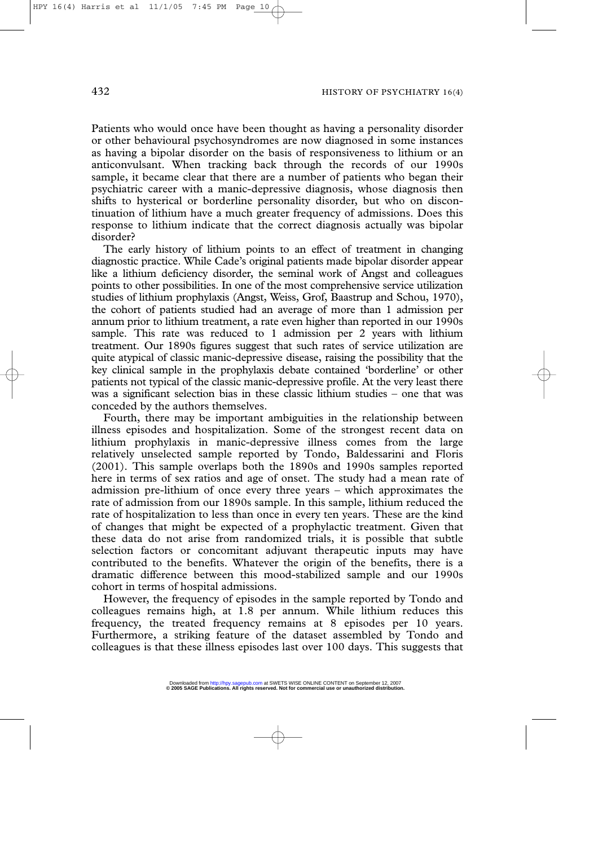Patients who would once have been thought as having a personality disorder or other behavioural psychosyndromes are now diagnosed in some instances as having a bipolar disorder on the basis of responsiveness to lithium or an anticonvulsant. When tracking back through the records of our 1990s sample, it became clear that there are a number of patients who began their psychiatric career with a manic-depressive diagnosis, whose diagnosis then shifts to hysterical or borderline personality disorder, but who on discontinuation of lithium have a much greater frequency of admissions. Does this response to lithium indicate that the correct diagnosis actually was bipolar disorder?

The early history of lithium points to an effect of treatment in changing diagnostic practice. While Cade's original patients made bipolar disorder appear like a lithium deficiency disorder, the seminal work of Angst and colleagues points to other possibilities. In one of the most comprehensive service utilization studies of lithium prophylaxis (Angst, Weiss, Grof, Baastrup and Schou, 1970), the cohort of patients studied had an average of more than 1 admission per annum prior to lithium treatment, a rate even higher than reported in our 1990s sample. This rate was reduced to 1 admission per 2 years with lithium treatment. Our 1890s figures suggest that such rates of service utilization are quite atypical of classic manic-depressive disease, raising the possibility that the key clinical sample in the prophylaxis debate contained 'borderline' or other patients not typical of the classic manic-depressive profile. At the very least there was a significant selection bias in these classic lithium studies – one that was conceded by the authors themselves.

Fourth, there may be important ambiguities in the relationship between illness episodes and hospitalization. Some of the strongest recent data on lithium prophylaxis in manic-depressive illness comes from the large relatively unselected sample reported by Tondo, Baldessarini and Floris (2001). This sample overlaps both the 1890s and 1990s samples reported here in terms of sex ratios and age of onset. The study had a mean rate of admission pre-lithium of once every three years – which approximates the rate of admission from our 1890s sample. In this sample, lithium reduced the rate of hospitalization to less than once in every ten years. These are the kind of changes that might be expected of a prophylactic treatment. Given that these data do not arise from randomized trials, it is possible that subtle selection factors or concomitant adjuvant therapeutic inputs may have contributed to the benefits. Whatever the origin of the benefits, there is a dramatic difference between this mood-stabilized sample and our 1990s cohort in terms of hospital admissions.

However, the frequency of episodes in the sample reported by Tondo and colleagues remains high, at 1.8 per annum. While lithium reduces this frequency, the treated frequency remains at 8 episodes per 10 years. Furthermore, a striking feature of the dataset assembled by Tondo and colleagues is that these illness episodes last over 100 days. This suggests that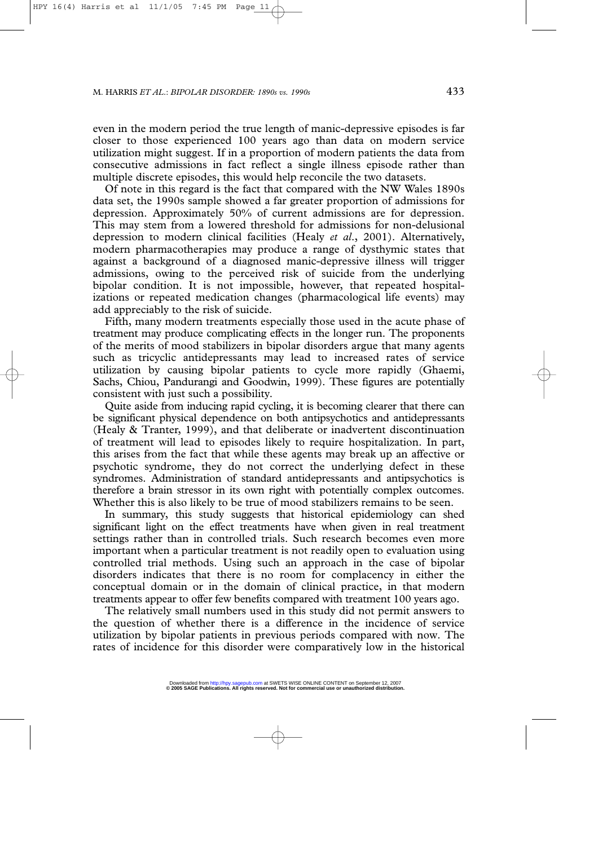even in the modern period the true length of manic-depressive episodes is far closer to those experienced 100 years ago than data on modern service utilization might suggest. If in a proportion of modern patients the data from consecutive admissions in fact reflect a single illness episode rather than multiple discrete episodes, this would help reconcile the two datasets.

Of note in this regard is the fact that compared with the NW Wales 1890s data set, the 1990s sample showed a far greater proportion of admissions for depression. Approximately 50% of current admissions are for depression. This may stem from a lowered threshold for admissions for non-delusional depression to modern clinical facilities (Healy *et al*., 2001). Alternatively, modern pharmacotherapies may produce a range of dysthymic states that against a background of a diagnosed manic-depressive illness will trigger admissions, owing to the perceived risk of suicide from the underlying bipolar condition. It is not impossible, however, that repeated hospitalizations or repeated medication changes (pharmacological life events) may add appreciably to the risk of suicide.

Fifth, many modern treatments especially those used in the acute phase of treatment may produce complicating effects in the longer run. The proponents of the merits of mood stabilizers in bipolar disorders argue that many agents such as tricyclic antidepressants may lead to increased rates of service utilization by causing bipolar patients to cycle more rapidly (Ghaemi, Sachs, Chiou, Pandurangi and Goodwin, 1999). These figures are potentially consistent with just such a possibility.

Quite aside from inducing rapid cycling, it is becoming clearer that there can be significant physical dependence on both antipsychotics and antidepressants (Healy & Tranter, 1999), and that deliberate or inadvertent discontinuation of treatment will lead to episodes likely to require hospitalization. In part, this arises from the fact that while these agents may break up an affective or psychotic syndrome, they do not correct the underlying defect in these syndromes. Administration of standard antidepressants and antipsychotics is therefore a brain stressor in its own right with potentially complex outcomes. Whether this is also likely to be true of mood stabilizers remains to be seen.

In summary, this study suggests that historical epidemiology can shed significant light on the effect treatments have when given in real treatment settings rather than in controlled trials. Such research becomes even more important when a particular treatment is not readily open to evaluation using controlled trial methods. Using such an approach in the case of bipolar disorders indicates that there is no room for complacency in either the conceptual domain or in the domain of clinical practice, in that modern treatments appear to offer few benefits compared with treatment 100 years ago.

The relatively small numbers used in this study did not permit answers to the question of whether there is a difference in the incidence of service utilization by bipolar patients in previous periods compared with now. The rates of incidence for this disorder were comparatively low in the historical